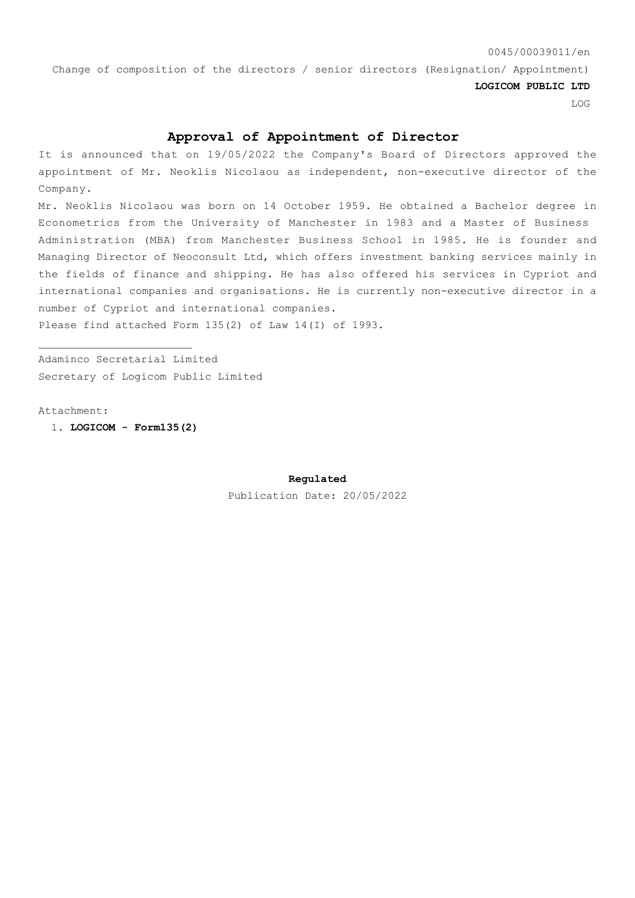## 0045/00039011/en

Change of composition of the directors / senior directors (Resignation/ Appointment)

**LOGICOM PUBLIC LTD**

LOG

## **Approval of Appointment of Director**

It is announced that on 19/05/2022 the Company's Board of Directors approved the appointment of Mr. Neoklis Nicolaou as independent, non-executive director of the Company.

Mr. Neoklis Nicolaou was born on 14 October 1959. He obtained a Bachelor degree in Econometrics from the University of Manchester in 1983 and a Master of Business Administration (MBA) from Manchester Business School in 1985. He is founder and Managing Director of Neoconsult Ltd, which offers investment banking services mainly in the fields of finance and shipping. He has also offered his services in Cypriot and international companies and organisations. He is currently non-executive director in a number of Cypriot and international companies.

Please find attached Form 135(2) of Law 14(Ι) of 1993.

Adaminco Secretarial Limited Secretary of Logicom Public Limited

Attachment:

1. **LOGICOM - Form135(2)**

**Regulated**

Publication Date: 20/05/2022